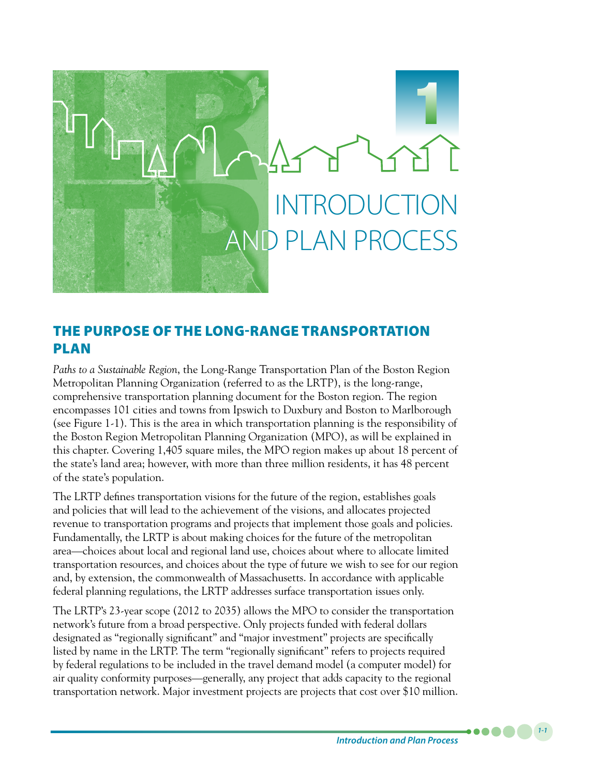

# THE PURPOSE OF THE LONG-RANGE TRANSPORTATION PLAN

*Paths to a Sustainable Region*, the Long-Range Transportation Plan of the Boston Region Metropolitan Planning Organization (referred to as the LRTP), is the long-range, comprehensive transportation planning document for the Boston region. The region encompasses 101 cities and towns from Ipswich to Duxbury and Boston to Marlborough (see Figure 1-1). This is the area in which transportation planning is the responsibility of the Boston Region Metropolitan Planning Organization (MPO), as will be explained in this chapter. Covering 1,405 square miles, the MPO region makes up about 18 percent of the state's land area; however, with more than three million residents, it has 48 percent of the state's population.

The LRTP defines transportation visions for the future of the region, establishes goals and policies that will lead to the achievement of the visions, and allocates projected revenue to transportation programs and projects that implement those goals and policies. Fundamentally, the LRTP is about making choices for the future of the metropolitan area—choices about local and regional land use, choices about where to allocate limited transportation resources, and choices about the type of future we wish to see for our region and, by extension, the commonwealth of Massachusetts. In accordance with applicable federal planning regulations, the LRTP addresses surface transportation issues only.

The LRTP's 23-year scope (2012 to 2035) allows the MPO to consider the transportation network's future from a broad perspective. Only projects funded with federal dollars designated as "regionally significant" and "major investment" projects are specifically listed by name in the LRTP. The term "regionally significant" refers to projects required by federal regulations to be included in the travel demand model (a computer model) for air quality conformity purposes—generally, any project that adds capacity to the regional transportation network. Major investment projects are projects that cost over \$10 million.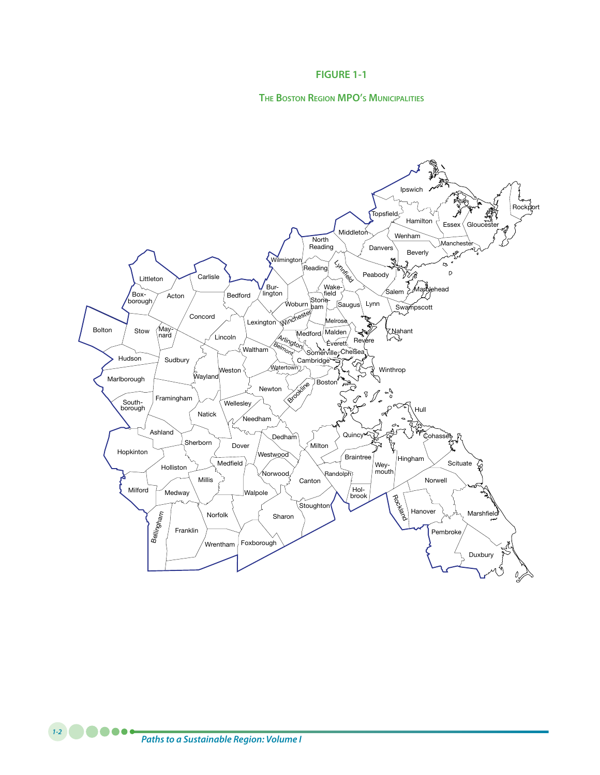#### **FIGURE 1-1**

#### **The Boston Region MPO's Municipalities**

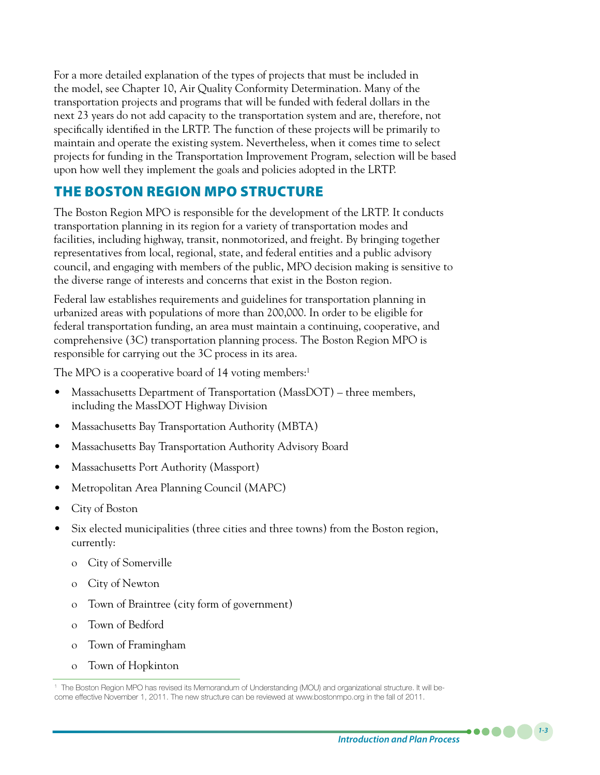For a more detailed explanation of the types of projects that must be included in the model, see Chapter 10, Air Quality Conformity Determination. Many of the transportation projects and programs that will be funded with federal dollars in the next 23 years do not add capacity to the transportation system and are, therefore, not specifically identified in the LRTP. The function of these projects will be primarily to maintain and operate the existing system. Nevertheless, when it comes time to select projects for funding in the Transportation Improvement Program, selection will be based upon how well they implement the goals and policies adopted in the LRTP.

# THE BOSTON REGION MPO STRUCTURE

The Boston Region MPO is responsible for the development of the LRTP. It conducts transportation planning in its region for a variety of transportation modes and facilities, including highway, transit, nonmotorized, and freight. By bringing together representatives from local, regional, state, and federal entities and a public advisory council, and engaging with members of the public, MPO decision making is sensitive to the diverse range of interests and concerns that exist in the Boston region.

Federal law establishes requirements and guidelines for transportation planning in urbanized areas with populations of more than 200,000. In order to be eligible for federal transportation funding, an area must maintain a continuing, cooperative, and comprehensive (3C) transportation planning process. The Boston Region MPO is responsible for carrying out the 3C process in its area.

The MPO is a cooperative board of 14 voting members:<sup>1</sup>

- Massachusetts Department of Transportation (MassDOT) three members, including the MassDOT Highway Division
- Massachusetts Bay Transportation Authority (MBTA)
- Massachusetts Bay Transportation Authority Advisory Board
- Massachusetts Port Authority (Massport)
- Metropolitan Area Planning Council (MAPC)
- City of Boston
- Six elected municipalities (three cities and three towns) from the Boston region, currently:
	- o City of Somerville
	- o City of Newton
	- o Town of Braintree (city form of government)
	- o Town of Bedford
	- o Town of Framingham
	- o Town of Hopkinton

*1-3*

 $\bullet\bullet\bullet\bullet$ 

<sup>1</sup> The Boston Region MPO has revised its Memorandum of Understanding (MOU) and organizational structure. It will become effective November 1, 2011. The new structure can be reviewed at www.bostonmpo.org in the fall of 2011.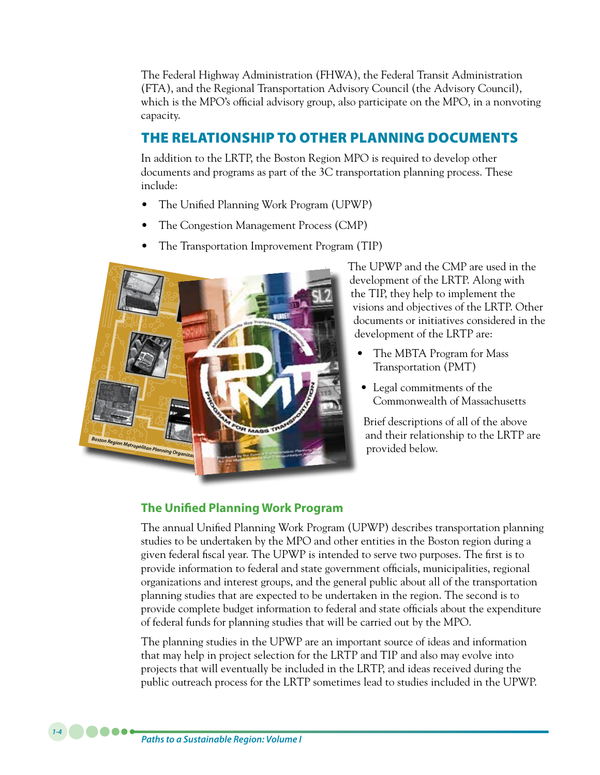The Federal Highway Administration (FHWA), the Federal Transit Administration (FTA), and the Regional Transportation Advisory Council (the Advisory Council), which is the MPO's official advisory group, also participate on the MPO, in a nonvoting capacity.

# THE RELATIONSHIP TO OTHER PLANNING DOCUMENTS

In addition to the LRTP, the Boston Region MPO is required to develop other documents and programs as part of the 3C transportation planning process. These include:

- The Unified Planning Work Program (UPWP)
- The Congestion Management Process (CMP)
- The Transportation Improvement Program (TIP)



The UPWP and the CMP are used in the development of the LRTP. Along with the TIP, they help to implement the visions and objectives of the LRTP. Other documents or initiatives considered in the development of the LRTP are:

- The MBTA Program for Mass Transportation (PMT)
- Legal commitments of the Commonwealth of Massachusetts

Brief descriptions of all of the above and their relationship to the LRTP are provided below.

# **The Unified Planning Work Program**

The annual Unified Planning Work Program (UPWP) describes transportation planning studies to be undertaken by the MPO and other entities in the Boston region during a given federal fiscal year. The UPWP is intended to serve two purposes. The first is to provide information to federal and state government officials, municipalities, regional organizations and interest groups, and the general public about all of the transportation planning studies that are expected to be undertaken in the region. The second is to provide complete budget information to federal and state officials about the expenditure of federal funds for planning studies that will be carried out by the MPO.

The planning studies in the UPWP are an important source of ideas and information that may help in project selection for the LRTP and TIP and also may evolve into projects that will eventually be included in the LRTP, and ideas received during the public outreach process for the LRTP sometimes lead to studies included in the UPWP.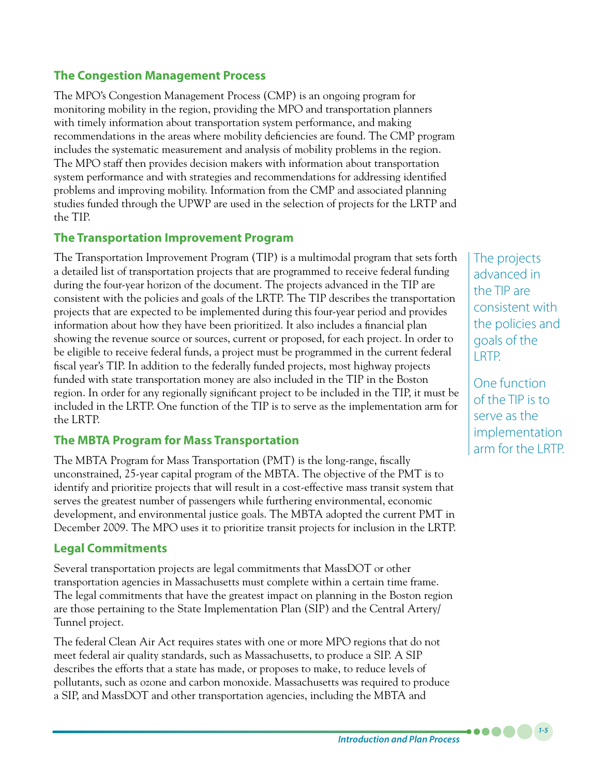# **The Congestion Management Process**

The MPO's Congestion Management Process (CMP) is an ongoing program for monitoring mobility in the region, providing the MPO and transportation planners with timely information about transportation system performance, and making recommendations in the areas where mobility deficiencies are found. The CMP program includes the systematic measurement and analysis of mobility problems in the region. The MPO staff then provides decision makers with information about transportation system performance and with strategies and recommendations for addressing identified problems and improving mobility. Information from the CMP and associated planning studies funded through the UPWP are used in the selection of projects for the LRTP and the TIP.

### **The Transportation Improvement Program**

The Transportation Improvement Program (TIP) is a multimodal program that sets forth a detailed list of transportation projects that are programmed to receive federal funding during the four-year horizon of the document. The projects advanced in the TIP are consistent with the policies and goals of the LRTP. The TIP describes the transportation projects that are expected to be implemented during this four-year period and provides information about how they have been prioritized. It also includes a financial plan showing the revenue source or sources, current or proposed, for each project. In order to be eligible to receive federal funds, a project must be programmed in the current federal fiscal year's TIP. In addition to the federally funded projects, most highway projects funded with state transportation money are also included in the TIP in the Boston region. In order for any regionally significant project to be included in the TIP, it must be included in the LRTP. One function of the TIP is to serve as the implementation arm for the LRTP.

### **The MBTA Program for Mass Transportation**

The MBTA Program for Mass Transportation (PMT) is the long-range, fiscally unconstrained, 25-year capital program of the MBTA. The objective of the PMT is to identify and prioritize projects that will result in a cost-effective mass transit system that serves the greatest number of passengers while furthering environmental, economic development, and environmental justice goals. The MBTA adopted the current PMT in December 2009. The MPO uses it to prioritize transit projects for inclusion in the LRTP.

# **Legal Commitments**

Several transportation projects are legal commitments that MassDOT or other transportation agencies in Massachusetts must complete within a certain time frame. The legal commitments that have the greatest impact on planning in the Boston region are those pertaining to the State Implementation Plan (SIP) and the Central Artery/ Tunnel project.

The federal Clean Air Act requires states with one or more MPO regions that do not meet federal air quality standards, such as Massachusetts, to produce a SIP. A SIP describes the efforts that a state has made, or proposes to make, to reduce levels of pollutants, such as ozone and carbon monoxide. Massachusetts was required to produce a SIP, and MassDOT and other transportation agencies, including the MBTA and

The projects advanced in the TIP are consistent with the policies and goals of the LRTP.

One function of the TIP is to serve as the implementation arm for the LRTP.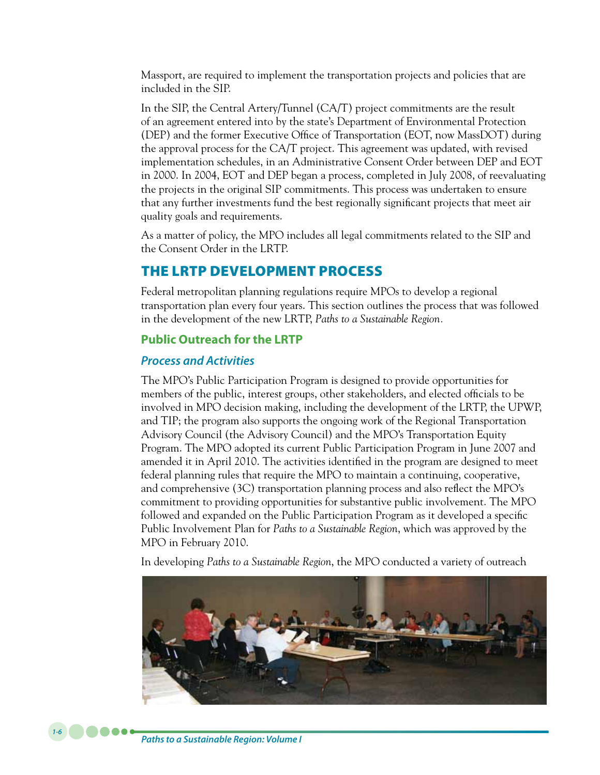Massport, are required to implement the transportation projects and policies that are included in the SIP.

In the SIP, the Central Artery/Tunnel (CA/T) project commitments are the result of an agreement entered into by the state's Department of Environmental Protection (DEP) and the former Executive Office of Transportation (EOT, now MassDOT) during the approval process for the CA/T project. This agreement was updated, with revised implementation schedules, in an Administrative Consent Order between DEP and EOT in 2000. In 2004, EOT and DEP began a process, completed in July 2008, of reevaluating the projects in the original SIP commitments. This process was undertaken to ensure that any further investments fund the best regionally significant projects that meet air quality goals and requirements.

As a matter of policy, the MPO includes all legal commitments related to the SIP and the Consent Order in the LRTP.

# THE LRTP DEVELOPMENT PROCESS

Federal metropolitan planning regulations require MPOs to develop a regional transportation plan every four years. This section outlines the process that was followed in the development of the new LRTP, *Paths to a Sustainable Region.*

## **Public Outreach for the LRTP**

## *Process and Activities*

The MPO's Public Participation Program is designed to provide opportunities for members of the public, interest groups, other stakeholders, and elected officials to be involved in MPO decision making, including the development of the LRTP, the UPWP, and TIP; the program also supports the ongoing work of the Regional Transportation Advisory Council (the Advisory Council) and the MPO's Transportation Equity Program. The MPO adopted its current Public Participation Program in June 2007 and amended it in April 2010. The activities identified in the program are designed to meet federal planning rules that require the MPO to maintain a continuing, cooperative, and comprehensive (3C) transportation planning process and also reflect the MPO's commitment to providing opportunities for substantive public involvement. The MPO followed and expanded on the Public Participation Program as it developed a specific Public Involvement Plan for *Paths to a Sustainable Region*, which was approved by the MPO in February 2010.

In developing *Paths to a Sustainable Region*, the MPO conducted a variety of outreach

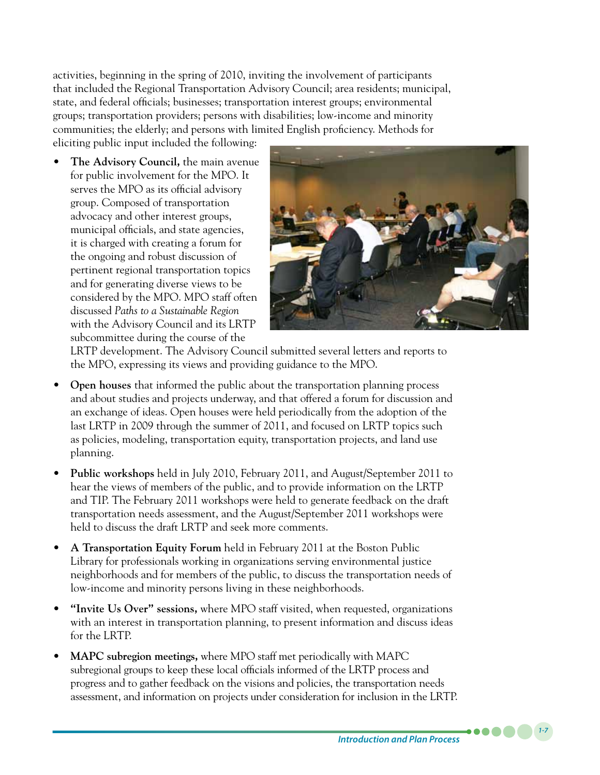activities, beginning in the spring of 2010, inviting the involvement of participants that included the Regional Transportation Advisory Council; area residents; municipal, state, and federal officials; businesses; transportation interest groups; environmental groups; transportation providers; persons with disabilities; low-income and minority communities; the elderly; and persons with limited English proficiency. Methods for

eliciting public input included the following:

**The Advisory Council, the main avenue** for public involvement for the MPO. It serves the MPO as its official advisory group. Composed of transportation advocacy and other interest groups, municipal officials, and state agencies, it is charged with creating a forum for the ongoing and robust discussion of pertinent regional transportation topics and for generating diverse views to be considered by the MPO. MPO staff often discussed *Paths to a Sustainable Region* with the Advisory Council and its LRTP subcommittee during the course of the



LRTP development. The Advisory Council submitted several letters and reports to the MPO, expressing its views and providing guidance to the MPO.

- **Open houses** that informed the public about the transportation planning process and about studies and projects underway, and that offered a forum for discussion and an exchange of ideas. Open houses were held periodically from the adoption of the last LRTP in 2009 through the summer of 2011, and focused on LRTP topics such as policies, modeling, transportation equity, transportation projects, and land use planning.
- • **Public workshops** held in July 2010, February 2011, and August/September 2011 to hear the views of members of the public, and to provide information on the LRTP and TIP. The February 2011 workshops were held to generate feedback on the draft transportation needs assessment, and the August/September 2011 workshops were held to discuss the draft LRTP and seek more comments.
- A **Transportation Equity Forum** held in February 2011 at the Boston Public Library for professionals working in organizations serving environmental justice neighborhoods and for members of the public, to discuss the transportation needs of low-income and minority persons living in these neighborhoods.
- • **"Invite Us Over" sessions,** where MPO staff visited, when requested, organizations with an interest in transportation planning, to present information and discuss ideas for the LRTP.
- **MAPC subregion meetings,** where MPO staff met periodically with MAPC subregional groups to keep these local officials informed of the LRTP process and progress and to gather feedback on the visions and policies, the transportation needs assessment, and information on projects under consideration for inclusion in the LRTP.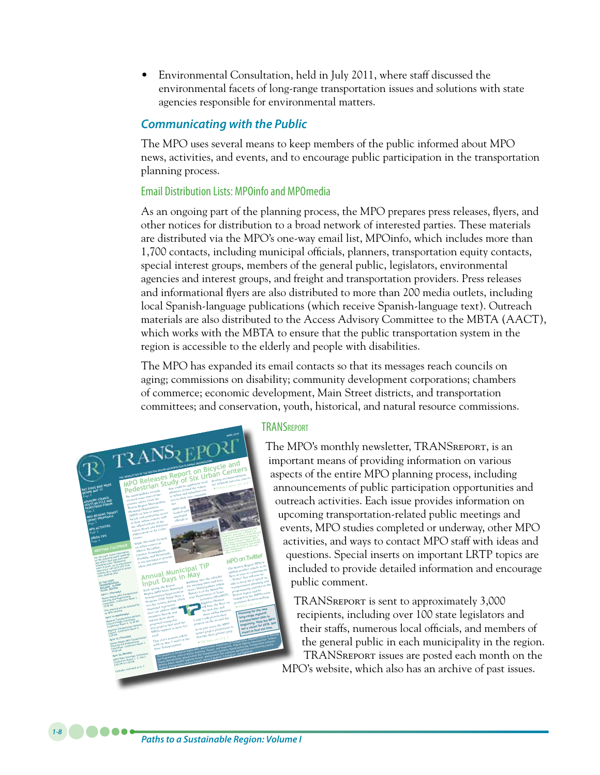Environmental Consultation, held in July 2011, where staff discussed the environmental facets of long-range transportation issues and solutions with state agencies responsible for environmental matters.

#### *Communicating with the Public*

The MPO uses several means to keep members of the public informed about MPO news, activities, and events, and to encourage public participation in the transportation planning process.

#### Email Distribution Lists: MPOinfo and MPOmedia

As an ongoing part of the planning process, the MPO prepares press releases, flyers, and other notices for distribution to a broad network of interested parties. These materials are distributed via the MPO's one-way email list, MPOinfo, which includes more than 1,700 contacts, including municipal officials, planners, transportation equity contacts, special interest groups, members of the general public, legislators, environmental agencies and interest groups, and freight and transportation providers. Press releases and informational flyers are also distributed to more than 200 media outlets, including local Spanish-language publications (which receive Spanish-language text). Outreach materials are also distributed to the Access Advisory Committee to the MBTA (AACT), which works with the MBTA to ensure that the public transportation system in the region is accessible to the elderly and people with disabilities.

The MPO has expanded its email contacts so that its messages reach councils on aging; commissions on disability; community development corporations; chambers of commerce; economic development, Main Street districts, and transportation committees; and conservation, youth, historical, and natural resource commissions.



*1-8*

#### **TRANSREPORT**

The MPO's monthly newsletter, TRANSreport, is an important means of providing information on various aspects of the entire MPO planning process, including announcements of public participation opportunities and outreach activities. Each issue provides information on upcoming transportation-related public meetings and events, MPO studies completed or underway, other MPO activities, and ways to contact MPO staff with ideas and questions. Special inserts on important LRTP topics are included to provide detailed information and encourage public comment.

TRANSreport is sent to approximately 3,000 recipients, including over 100 state legislators and their staffs, numerous local officials, and members of the general public in each municipality in the region. TRANSreport issues are posted each month on the MPO's website, which also has an archive of past issues.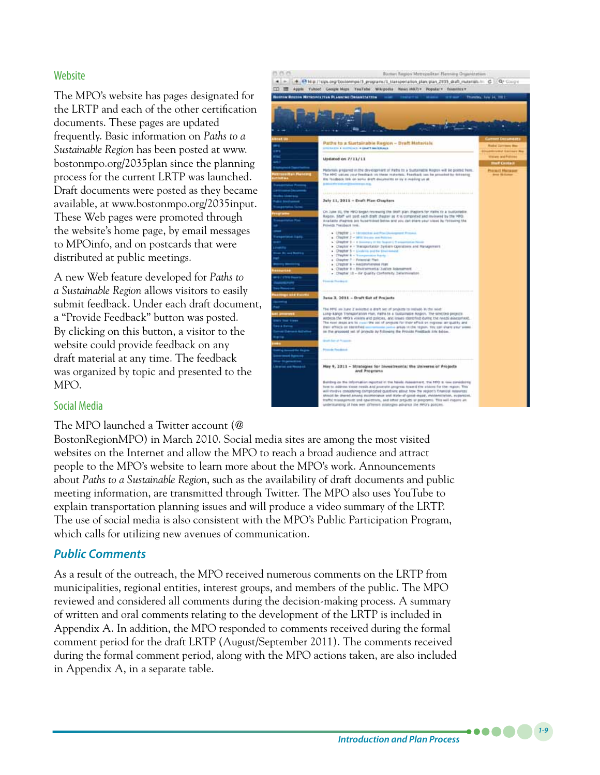#### **Website**

The MPO's website has pages designated for the LRTP and each of the other certification documents. These pages are updated frequently. Basic information on *Paths to a Sustainable Region* has been posted at www. bostonmpo.org/2035plan since the planning process for the current LRTP was launched. Draft documents were posted as they became available, at www.bostonmpo.org/2035input. These Web pages were promoted through the website's home page, by email messages to MPOinfo, and on postcards that were distributed at public meetings.

A new Web feature developed for *Paths to a Sustainable Region* allows visitors to easily submit feedback. Under each draft document, a "Provide Feedback" button was posted. By clicking on this button, a visitor to the website could provide feedback on any draft material at any time. The feedback was organized by topic and presented to the MPO.



#### Social Media

The MPO launched a Twitter account (@

BostonRegionMPO) in March 2010. Social media sites are among the most visited websites on the Internet and allow the MPO to reach a broad audience and attract people to the MPO's website to learn more about the MPO's work. Announcements about *Paths to a Sustainable Region*, such as the availability of draft documents and public meeting information, are transmitted through Twitter. The MPO also uses YouTube to explain transportation planning issues and will produce a video summary of the LRTP. The use of social media is also consistent with the MPO's Public Participation Program, which calls for utilizing new avenues of communication.

#### *Public Comments*

As a result of the outreach, the MPO received numerous comments on the LRTP from municipalities, regional entities, interest groups, and members of the public. The MPO reviewed and considered all comments during the decision-making process. A summary of written and oral comments relating to the development of the LRTP is included in Appendix A. In addition, the MPO responded to comments received during the formal comment period for the draft LRTP (August/September 2011). The comments received during the formal comment period, along with the MPO actions taken, are also included in Appendix A, in a separate table.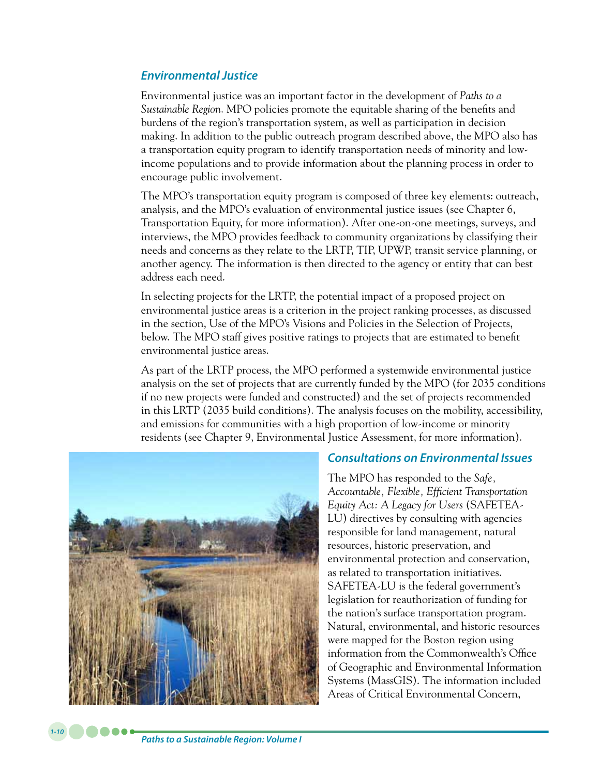#### *Environmental Justice*

Environmental justice was an important factor in the development of *Paths to a Sustainable Region*. MPO policies promote the equitable sharing of the benefits and burdens of the region's transportation system, as well as participation in decision making. In addition to the public outreach program described above, the MPO also has a transportation equity program to identify transportation needs of minority and lowincome populations and to provide information about the planning process in order to encourage public involvement.

The MPO's transportation equity program is composed of three key elements: outreach, analysis, and the MPO's evaluation of environmental justice issues (see Chapter 6, Transportation Equity, for more information). After one-on-one meetings, surveys, and interviews, the MPO provides feedback to community organizations by classifying their needs and concerns as they relate to the LRTP, TIP, UPWP, transit service planning, or another agency. The information is then directed to the agency or entity that can best address each need.

In selecting projects for the LRTP, the potential impact of a proposed project on environmental justice areas is a criterion in the project ranking processes, as discussed in the section, Use of the MPO's Visions and Policies in the Selection of Projects, below. The MPO staff gives positive ratings to projects that are estimated to benefit environmental justice areas.

As part of the LRTP process, the MPO performed a systemwide environmental justice analysis on the set of projects that are currently funded by the MPO (for 2035 conditions if no new projects were funded and constructed) and the set of projects recommended in this LRTP (2035 build conditions). The analysis focuses on the mobility, accessibility, and emissions for communities with a high proportion of low-income or minority residents (see Chapter 9, Environmental Justice Assessment, for more information).



#### *Consultations on Environmental Issues*

The MPO has responded to the *Safe, Accountable, Flexible, Efficient Transportation Equity Act: A Legacy for Users* (SAFETEA-LU) directives by consulting with agencies responsible for land management, natural resources, historic preservation, and environmental protection and conservation, as related to transportation initiatives. SAFETEA-LU is the federal government's legislation for reauthorization of funding for the nation's surface transportation program. Natural, environmental, and historic resources were mapped for the Boston region using information from the Commonwealth's Office of Geographic and Environmental Information Systems (MassGIS). The information included Areas of Critical Environmental Concern,

**. . . . .**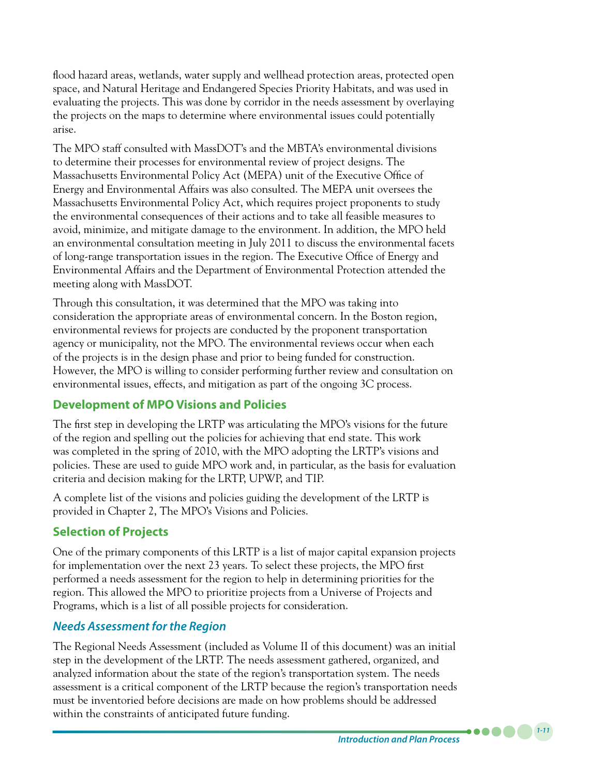flood hazard areas, wetlands, water supply and wellhead protection areas, protected open space, and Natural Heritage and Endangered Species Priority Habitats, and was used in evaluating the projects. This was done by corridor in the needs assessment by overlaying the projects on the maps to determine where environmental issues could potentially arise.

The MPO staff consulted with MassDOT's and the MBTA's environmental divisions to determine their processes for environmental review of project designs. The Massachusetts Environmental Policy Act (MEPA) unit of the Executive Office of Energy and Environmental Affairs was also consulted. The MEPA unit oversees the Massachusetts Environmental Policy Act, which requires project proponents to study the environmental consequences of their actions and to take all feasible measures to avoid, minimize, and mitigate damage to the environment. In addition, the MPO held an environmental consultation meeting in July 2011 to discuss the environmental facets of long-range transportation issues in the region. The Executive Office of Energy and Environmental Affairs and the Department of Environmental Protection attended the meeting along with MassDOT.

Through this consultation, it was determined that the MPO was taking into consideration the appropriate areas of environmental concern. In the Boston region, environmental reviews for projects are conducted by the proponent transportation agency or municipality, not the MPO. The environmental reviews occur when each of the projects is in the design phase and prior to being funded for construction. However, the MPO is willing to consider performing further review and consultation on environmental issues, effects, and mitigation as part of the ongoing 3C process.

### **Development of MPO Visions and Policies**

The first step in developing the LRTP was articulating the MPO's visions for the future of the region and spelling out the policies for achieving that end state. This work was completed in the spring of 2010, with the MPO adopting the LRTP's visions and policies. These are used to guide MPO work and, in particular, as the basis for evaluation criteria and decision making for the LRTP, UPWP, and TIP.

A complete list of the visions and policies guiding the development of the LRTP is provided in Chapter 2, The MPO's Visions and Policies.

# **Selection of Projects**

One of the primary components of this LRTP is a list of major capital expansion projects for implementation over the next 23 years. To select these projects, the MPO first performed a needs assessment for the region to help in determining priorities for the region. This allowed the MPO to prioritize projects from a Universe of Projects and Programs, which is a list of all possible projects for consideration.

# *Needs Assessment for the Region*

The Regional Needs Assessment (included as Volume II of this document) was an initial step in the development of the LRTP. The needs assessment gathered, organized, and analyzed information about the state of the region's transportation system. The needs assessment is a critical component of the LRTP because the region's transportation needs must be inventoried before decisions are made on how problems should be addressed within the constraints of anticipated future funding.

*1-11*

 $\bullet$   $\bullet$   $\bullet$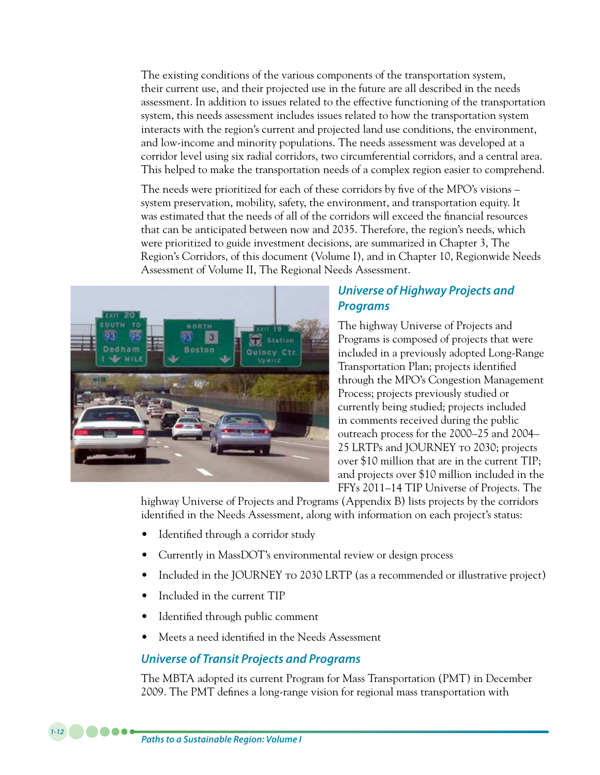The existing conditions of the various components of the transportation system, their current use, and their projected use in the future are all described in the needs assessment. In addition to issues related to the effective functioning of the transportation system, this needs assessment includes issues related to how the transportation system interacts with the region's current and projected land use conditions, the environment, and low-income and minority populations. The needs assessment was developed at a corridor level using six radial corridors, two circumferential corridors, and a central area. This helped to make the transportation needs of a complex region easier to comprehend.

The needs were prioritized for each of these corridors by five of the MPO's visions – system preservation, mobility, safety, the environment, and transportation equity. It was estimated that the needs of all of the corridors will exceed the financial resources that can be anticipated between now and 2035. Therefore, the region's needs, which were prioritized to guide investment decisions, are summarized in Chapter 3, The Region's Corridors, of this document (Volume I), and in Chapter 10, Regionwide Needs Assessment of Volume II, The Regional Needs Assessment.



# *Universe of Highway Projects and Programs*

The highway Universe of Projects and Programs is composed of projects that were included in a previously adopted Long-Range Transportation Plan; projects identified through the MPO's Congestion Management Process; projects previously studied or currently being studied; projects included in comments received during the public outreach process for the 2000–25 and 2004– 25 LRTPs and JOURNEY to 2030; projects over \$10 million that are in the current TIP; and projects over \$10 million included in the FFYs 2011–14 TIP Universe of Projects. The

highway Universe of Projects and Programs (Appendix B) lists projects by the corridors identified in the Needs Assessment, along with information on each project's status:

- Identified through a corridor study
- Currently in MassDOT's environmental review or design process
- Included in the JOURNEY to 2030 LRTP (as a recommended or illustrative project)
- Included in the current TIP
- Identified through public comment
- Meets a need identified in the Needs Assessment

# *Universe of Transit Projects and Programs*

The MBTA adopted its current Program for Mass Transportation (PMT) in December 2009. The PMT defines a long-range vision for regional mass transportation with

*Paths to a Sustainable Region: Volume I*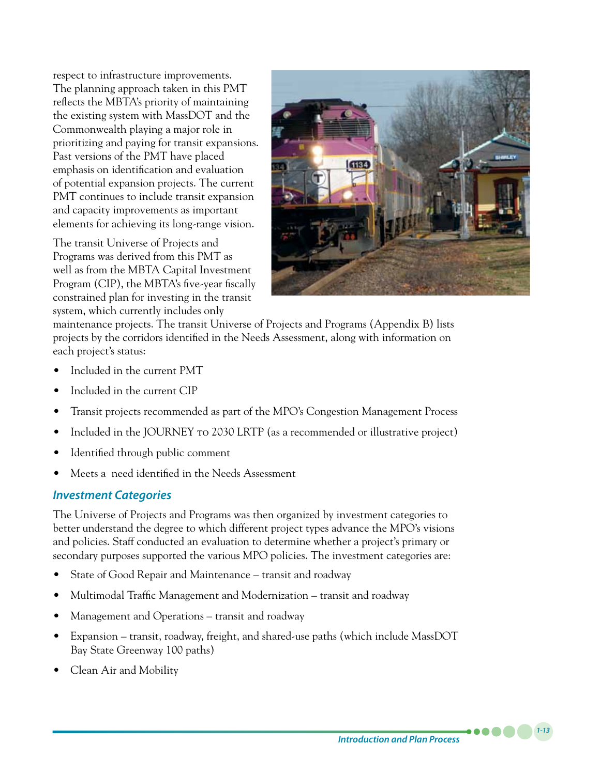respect to infrastructure improvements. The planning approach taken in this PMT reflects the MBTA's priority of maintaining the existing system with MassDOT and the Commonwealth playing a major role in prioritizing and paying for transit expansions. Past versions of the PMT have placed emphasis on identification and evaluation of potential expansion projects. The current PMT continues to include transit expansion and capacity improvements as important elements for achieving its long-range vision.

The transit Universe of Projects and Programs was derived from this PMT as well as from the MBTA Capital Investment Program (CIP), the MBTA's five-year fiscally constrained plan for investing in the transit system, which currently includes only



maintenance projects. The transit Universe of Projects and Programs (Appendix B) lists projects by the corridors identified in the Needs Assessment, along with information on each project's status:

- Included in the current PMT
- Included in the current CIP
- Transit projects recommended as part of the MPO's Congestion Management Process
- Included in the JOURNEY to 2030 LRTP (as a recommended or illustrative project)
- Identified through public comment
- Meets a need identified in the Needs Assessment

### *Investment Categories*

The Universe of Projects and Programs was then organized by investment categories to better understand the degree to which different project types advance the MPO's visions and policies. Staff conducted an evaluation to determine whether a project's primary or secondary purposes supported the various MPO policies. The investment categories are:

- State of Good Repair and Maintenance transit and roadway
- Multimodal Traffic Management and Modernization transit and roadway
- Management and Operations transit and roadway
- Expansion transit, roadway, freight, and shared-use paths (which include MassDOT Bay State Greenway 100 paths)
- Clean Air and Mobility

*Introduction and Plan Process*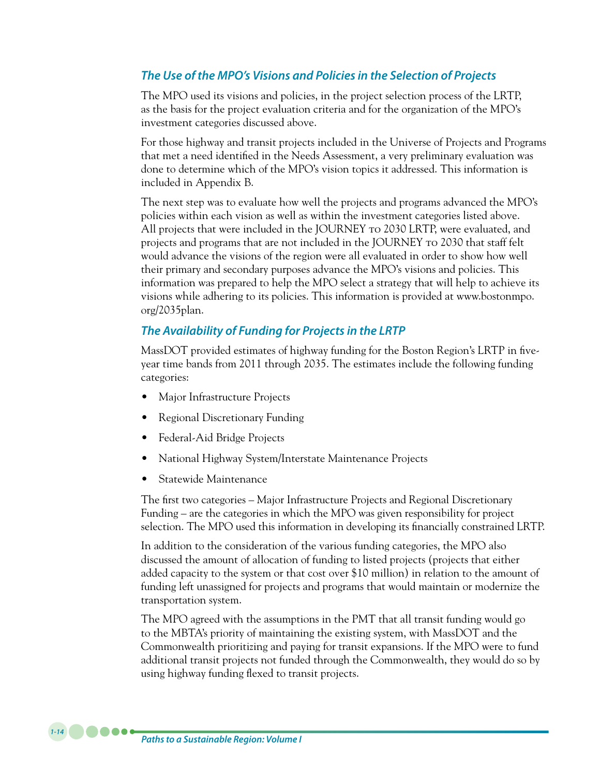### *The Use of the MPO's Visions and Policies in the Selection of Projects*

The MPO used its visions and policies, in the project selection process of the LRTP, as the basis for the project evaluation criteria and for the organization of the MPO's investment categories discussed above.

For those highway and transit projects included in the Universe of Projects and Programs that met a need identified in the Needs Assessment, a very preliminary evaluation was done to determine which of the MPO's vision topics it addressed. This information is included in Appendix B.

The next step was to evaluate how well the projects and programs advanced the MPO's policies within each vision as well as within the investment categories listed above. All projects that were included in the JOURNEY to 2030 LRTP, were evaluated, and projects and programs that are not included in the JOURNEY to 2030 that staff felt would advance the visions of the region were all evaluated in order to show how well their primary and secondary purposes advance the MPO's visions and policies. This information was prepared to help the MPO select a strategy that will help to achieve its visions while adhering to its policies. This information is provided at www.bostonmpo. org/2035plan.

#### *The Availability of Funding for Projects in the LRTP*

MassDOT provided estimates of highway funding for the Boston Region's LRTP in fiveyear time bands from 2011 through 2035. The estimates include the following funding categories:

- Major Infrastructure Projects
- **Regional Discretionary Funding**
- Federal-Aid Bridge Projects
- National Highway System/Interstate Maintenance Projects
- Statewide Maintenance

The first two categories – Major Infrastructure Projects and Regional Discretionary Funding – are the categories in which the MPO was given responsibility for project selection. The MPO used this information in developing its financially constrained LRTP.

In addition to the consideration of the various funding categories, the MPO also discussed the amount of allocation of funding to listed projects (projects that either added capacity to the system or that cost over \$10 million) in relation to the amount of funding left unassigned for projects and programs that would maintain or modernize the transportation system.

The MPO agreed with the assumptions in the PMT that all transit funding would go to the MBTA's priority of maintaining the existing system, with MassDOT and the Commonwealth prioritizing and paying for transit expansions. If the MPO were to fund additional transit projects not funded through the Commonwealth, they would do so by using highway funding flexed to transit projects.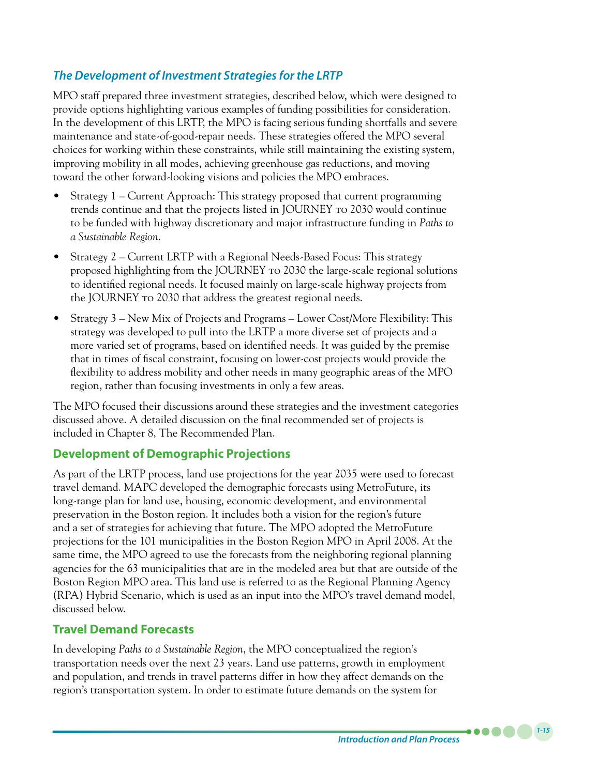# *The Development of Investment Strategies for the LRTP*

MPO staff prepared three investment strategies, described below, which were designed to provide options highlighting various examples of funding possibilities for consideration. In the development of this LRTP, the MPO is facing serious funding shortfalls and severe maintenance and state-of-good-repair needs. These strategies offered the MPO several choices for working within these constraints, while still maintaining the existing system, improving mobility in all modes, achieving greenhouse gas reductions, and moving toward the other forward-looking visions and policies the MPO embraces.

- $\frac{1}{2}$  Strategy 1 Current Approach: This strategy proposed that current programming trends continue and that the projects listed in JOURNEY to 2030 would continue to be funded with highway discretionary and major infrastructure funding in *Paths to a Sustainable Region*.
- Strategy 2 Current LRTP with a Regional Needs-Based Focus: This strategy proposed highlighting from the JOURNEY to 2030 the large-scale regional solutions to identified regional needs. It focused mainly on large-scale highway projects from the JOURNEY to 2030 that address the greatest regional needs.
- Strategy  $3$  New Mix of Projects and Programs Lower Cost/More Flexibility: This strategy was developed to pull into the LRTP a more diverse set of projects and a more varied set of programs, based on identified needs. It was guided by the premise that in times of fiscal constraint, focusing on lower-cost projects would provide the flexibility to address mobility and other needs in many geographic areas of the MPO region, rather than focusing investments in only a few areas.

The MPO focused their discussions around these strategies and the investment categories discussed above. A detailed discussion on the final recommended set of projects is included in Chapter 8, The Recommended Plan.

#### **Development of Demographic Projections**

As part of the LRTP process, land use projections for the year 2035 were used to forecast travel demand. MAPC developed the demographic forecasts using MetroFuture, its long-range plan for land use, housing, economic development, and environmental preservation in the Boston region. It includes both a vision for the region's future and a set of strategies for achieving that future. The MPO adopted the MetroFuture projections for the 101 municipalities in the Boston Region MPO in April 2008. At the same time, the MPO agreed to use the forecasts from the neighboring regional planning agencies for the 63 municipalities that are in the modeled area but that are outside of the Boston Region MPO area. This land use is referred to as the Regional Planning Agency (RPA) Hybrid Scenario, which is used as an input into the MPO's travel demand model, discussed below.

#### **Travel Demand Forecasts**

In developing *Paths to a Sustainable Region*, the MPO conceptualized the region's transportation needs over the next 23 years. Land use patterns, growth in employment and population, and trends in travel patterns differ in how they affect demands on the region's transportation system. In order to estimate future demands on the system for